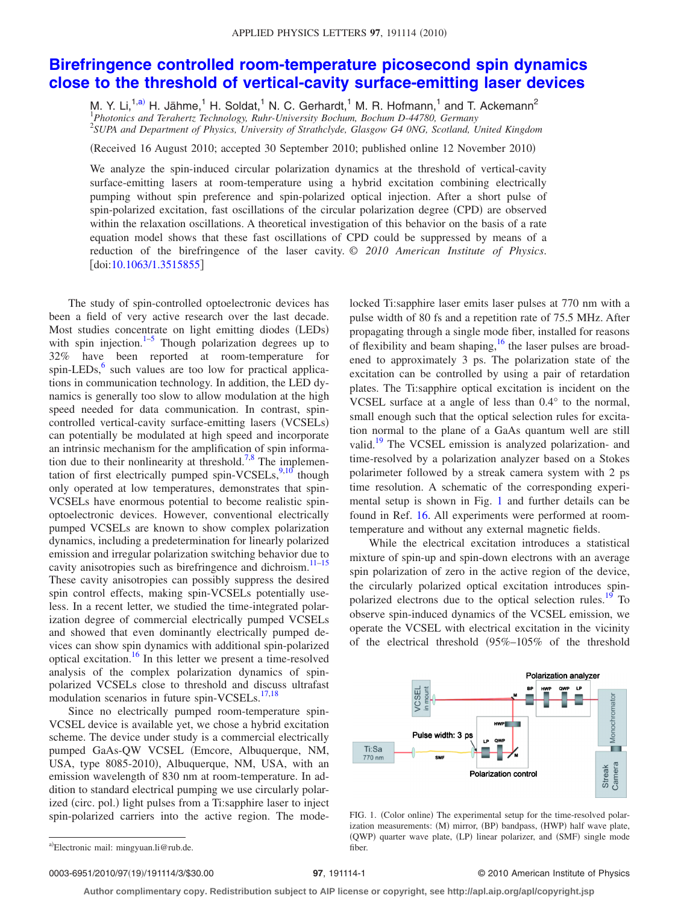## **[Birefringence controlled room-temperature picosecond spin dynamics](http://dx.doi.org/10.1063/1.3515855) [close to the threshold of vertical-cavity surface-emitting laser devices](http://dx.doi.org/10.1063/1.3515855)**

M. Y. Li,<sup>1[,a](#page-0-0))</sup> H. Jähme,<sup>1</sup> H. Soldat,<sup>1</sup> N. C. Gerhardt,<sup>1</sup> M. R. Hofmann,<sup>1</sup> and T. Ackemann<sup>2</sup>

1 *Photonics and Terahertz Technology, Ruhr-University Bochum, Bochum D-44780, Germany*

2 *SUPA and Department of Physics, University of Strathclyde, Glasgow G4 0NG, Scotland, United Kingdom*

(Received 16 August 2010; accepted 30 September 2010; published online 12 November 2010)

We analyze the spin-induced circular polarization dynamics at the threshold of vertical-cavity surface-emitting lasers at room-temperature using a hybrid excitation combining electrically pumping without spin preference and spin-polarized optical injection. After a short pulse of spin-polarized excitation, fast oscillations of the circular polarization degree (CPD) are observed within the relaxation oscillations. A theoretical investigation of this behavior on the basis of a rate equation model shows that these fast oscillations of CPD could be suppressed by means of a reduction of the birefringence of the laser cavity. © *2010 American Institute of Physics*. [doi[:10.1063/1.3515855](http://dx.doi.org/10.1063/1.3515855)]

The study of spin-controlled optoelectronic devices has been a field of very active research over the last decade. Most studies concentrate on light emitting diodes (LEDs) with spin injection. $1-5$  $1-5$  Though polarization degrees up to 32% have been reported at room-temperature for spin-LEDs, $6$  such values are too low for practical applications in communication technology. In addition, the LED dynamics is generally too slow to allow modulation at the high speed needed for data communication. In contrast, spincontrolled vertical-cavity surface-emitting lasers (VCSELs) can potentially be modulated at high speed and incorporate an intrinsic mechanism for the amplification of spin informa-tion due to their nonlinearity at threshold.<sup>7,[8](#page-2-4)</sup> The implementation of first electrically pumped spin-VCSELs, $\frac{9,10}{2}$  $\frac{9,10}{2}$  $\frac{9,10}{2}$  though only operated at low temperatures, demonstrates that spin-VCSELs have enormous potential to become realistic spinoptoelectronic devices. However, conventional electrically pumped VCSELs are known to show complex polarization dynamics, including a predetermination for linearly polarized emission and irregular polarization switching behavior due to cavity anisotropies such as birefringence and dichroism.<sup>11-15</sup> These cavity anisotropies can possibly suppress the desired spin control effects, making spin-VCSELs potentially useless. In a recent letter, we studied the time-integrated polarization degree of commercial electrically pumped VCSELs and showed that even dominantly electrically pumped devices can show spin dynamics with additional spin-polarized optical excitation[.16](#page-2-9) In this letter we present a time-resolved analysis of the complex polarization dynamics of spinpolarized VCSELs close to threshold and discuss ultrafast modulation scenarios in future spin-VCSELs.<sup>17[,18](#page-2-11)</sup>

Since no electrically pumped room-temperature spin-VCSEL device is available yet, we chose a hybrid excitation scheme. The device under study is a commercial electrically pumped GaAs-QW VCSEL (Emcore, Albuquerque, NM, USA, type 8085-2010, Albuquerque, NM, USA, with an emission wavelength of 830 nm at room-temperature. In addition to standard electrical pumping we use circularly polarized (circ. pol.) light pulses from a Ti:sapphire laser to inject spin-polarized carriers into the active region. The modelocked Ti:sapphire laser emits laser pulses at 770 nm with a pulse width of 80 fs and a repetition rate of 75.5 MHz. After propagating through a single mode fiber, installed for reasons of flexibility and beam shaping,  $16$  the laser pulses are broadened to approximately 3 ps. The polarization state of the excitation can be controlled by using a pair of retardation plates. The Ti:sapphire optical excitation is incident on the VCSEL surface at a angle of less than 0.4° to the normal, small enough such that the optical selection rules for excitation normal to the plane of a GaAs quantum well are still valid[.19](#page-2-12) The VCSEL emission is analyzed polarization- and time-resolved by a polarization analyzer based on a Stokes polarimeter followed by a streak camera system with 2 ps time resolution. A schematic of the corresponding experimental setup is shown in Fig. [1](#page-0-1) and further details can be found in Ref. [16.](#page-2-9) All experiments were performed at roomtemperature and without any external magnetic fields.

While the electrical excitation introduces a statistical mixture of spin-up and spin-down electrons with an average spin polarization of zero in the active region of the device, the circularly polarized optical excitation introduces spinpolarized electrons due to the optical selection rules.<sup>19</sup> To observe spin-induced dynamics of the VCSEL emission, we operate the VCSEL with electrical excitation in the vicinity of the electrical threshold  $(95\%-105\%$  of the threshold

<span id="page-0-1"></span>

FIG. 1. (Color online) The experimental setup for the time-resolved polarization measurements: (M) mirror, (BP) bandpass, (HWP) half wave plate, (QWP) quarter wave plate, (LP) linear polarizer, and (SMF) single mode fiber.

## 97, 191114-1 **30.000 COLLET SERVICE OP 2010** American Institute of Physics

**Author complimentary copy. Redistribution subject to AIP license or copyright, see http://apl.aip.org/apl/copyright.jsp**

<span id="page-0-0"></span>a)Electronic mail: mingyuan.li@rub.de.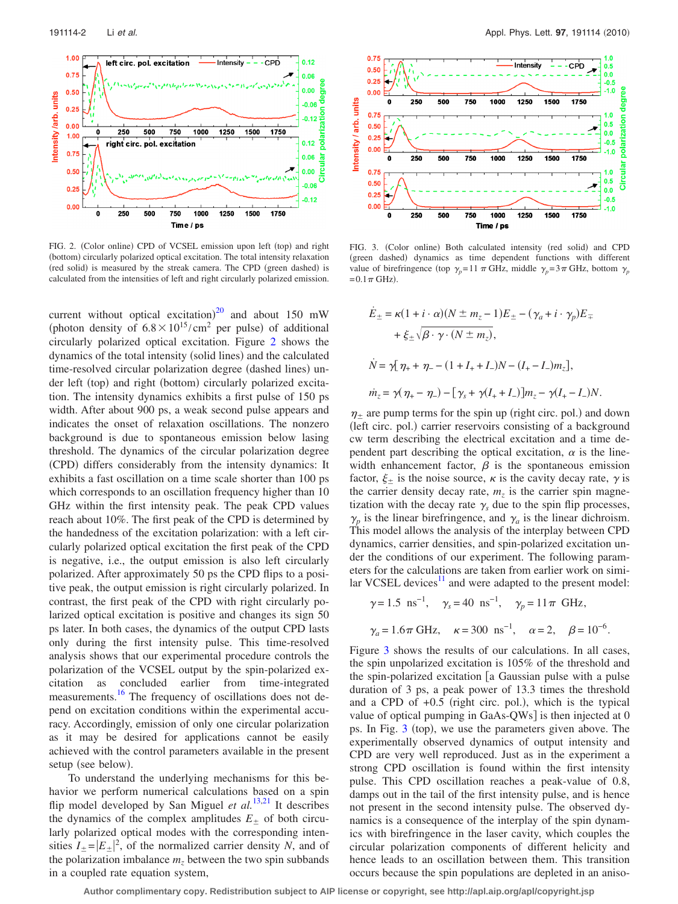<span id="page-1-0"></span>

FIG. 2. (Color online) CPD of VCSEL emission upon left (top) and right (bottom) circularly polarized optical excitation. The total intensity relaxation (red solid) is measured by the streak camera. The CPD (green dashed) is calculated from the intensities of left and right circularly polarized emission.

current without optical excitation) $^{20}$  $^{20}$  $^{20}$  and about 150 mW (photon density of  $6.8 \times 10^{15}$ /cm<sup>2</sup> per pulse) of additional circularly polarized optical excitation. Figure [2](#page-1-0) shows the dynamics of the total intensity (solid lines) and the calculated time-resolved circular polarization degree (dashed lines) under left (top) and right (bottom) circularly polarized excitation. The intensity dynamics exhibits a first pulse of 150 ps width. After about 900 ps, a weak second pulse appears and indicates the onset of relaxation oscillations. The nonzero background is due to spontaneous emission below lasing threshold. The dynamics of the circular polarization degree (CPD) differs considerably from the intensity dynamics: It exhibits a fast oscillation on a time scale shorter than 100 ps which corresponds to an oscillation frequency higher than 10 GHz within the first intensity peak. The peak CPD values reach about 10%. The first peak of the CPD is determined by the handedness of the excitation polarization: with a left circularly polarized optical excitation the first peak of the CPD is negative, i.e., the output emission is also left circularly polarized. After approximately 50 ps the CPD flips to a positive peak, the output emission is right circularly polarized. In contrast, the first peak of the CPD with right circularly polarized optical excitation is positive and changes its sign 50 ps later. In both cases, the dynamics of the output CPD lasts only during the first intensity pulse. This time-resolved analysis shows that our experimental procedure controls the polarization of the VCSEL output by the spin-polarized excitation as concluded earlier from time-integrated measurements.<sup>16</sup> The frequency of oscillations does not depend on excitation conditions within the experimental accuracy. Accordingly, emission of only one circular polarization as it may be desired for applications cannot be easily achieved with the control parameters available in the present setup (see below).

To understand the underlying mechanisms for this behavior we perform numerical calculations based on a spin flip model developed by San Miguel *et al.*<sup>[13](#page-2-14)[,21](#page-2-15)</sup> It describes the dynamics of the complex amplitudes  $E_{\pm}$  of both circularly polarized optical modes with the corresponding intensities  $I_{\pm} = |E_{\pm}|^2$ , of the normalized carrier density *N*, and of the polarization imbalance  $m<sub>z</sub>$  between the two spin subbands in a coupled rate equation system,

<span id="page-1-1"></span>

FIG. 3. (Color online) Both calculated intensity (red solid) and CPD (green dashed) dynamics as time dependent functions with different value of birefringence (top  $\gamma_p = 11 \pi \text{ GHz}$ , middle  $\gamma_p = 3 \pi \text{ GHz}$ , bottom  $\gamma_p$  $= 0.1 \pi$  GHz).

$$
\dot{E}_{\pm} = \kappa (1 + i \cdot \alpha)(N \pm m_{z} - 1)E_{\pm} - (\gamma_{a} + i \cdot \gamma_{p})E_{\mp} \n+ \xi_{\pm} \sqrt{\beta \cdot \gamma \cdot (N \pm m_{z})}, \n\dot{N} = \gamma [\eta_{+} + \eta_{-} - (1 + I_{+} + I_{-})N - (I_{+} - I_{-})m_{z}], \n\dot{m}_{z} = \gamma (\eta_{+} - \eta_{-}) - [\gamma_{s} + \gamma (I_{+} + I_{-})]m_{z} - \gamma (I_{+} - I_{-})N.
$$

 $\eta_{\pm}$  are pump terms for the spin up (right circ. pol.) and down (left circ. pol.) carrier reservoirs consisting of a background cw term describing the electrical excitation and a time dependent part describing the optical excitation,  $\alpha$  is the linewidth enhancement factor,  $\beta$  is the spontaneous emission factor,  $\xi_{\pm}$  is the noise source,  $\kappa$  is the cavity decay rate,  $\gamma$  is the carrier density decay rate,  $m<sub>z</sub>$  is the carrier spin magnetization with the decay rate  $\gamma_s$  due to the spin flip processes,  $\gamma_p$  is the linear birefringence, and  $\gamma_a$  is the linear dichroism. This model allows the analysis of the interplay between CPD dynamics, carrier densities, and spin-polarized excitation under the conditions of our experiment. The following parameters for the calculations are taken from earlier work on similar VCSEL devices $11$  and were adapted to the present model:

 $\gamma = 1.5 \text{ ns}^{-1}$ ,  $\gamma_s = 40 \text{ ns}^{-1}$ ,  $\gamma_p = 11 \pi \text{ GHz}$ ,  $\gamma_a = 1.6 \pi \text{ GHz}, \quad \kappa = 300 \text{ ns}^{-1}, \quad \alpha = 2, \quad \beta = 10^{-6}.$ 

Figure [3](#page-1-1) shows the results of our calculations. In all cases, the spin unpolarized excitation is 105% of the threshold and the spin-polarized excitation [a Gaussian pulse with a pulse duration of 3 ps, a peak power of 13.3 times the threshold and a CPD of  $+0.5$  (right circ. pol.), which is the typical value of optical pumping in  $GaAs-QWs$  is then injected at 0 ps. In Fig.  $3$  (top), we use the parameters given above. The experimentally observed dynamics of output intensity and CPD are very well reproduced. Just as in the experiment a strong CPD oscillation is found within the first intensity pulse. This CPD oscillation reaches a peak-value of 0.8, damps out in the tail of the first intensity pulse, and is hence not present in the second intensity pulse. The observed dynamics is a consequence of the interplay of the spin dynamics with birefringence in the laser cavity, which couples the circular polarization components of different helicity and hence leads to an oscillation between them. This transition occurs because the spin populations are depleted in an aniso-

**Author complimentary copy. Redistribution subject to AIP license or copyright, see http://apl.aip.org/apl/copyright.jsp**